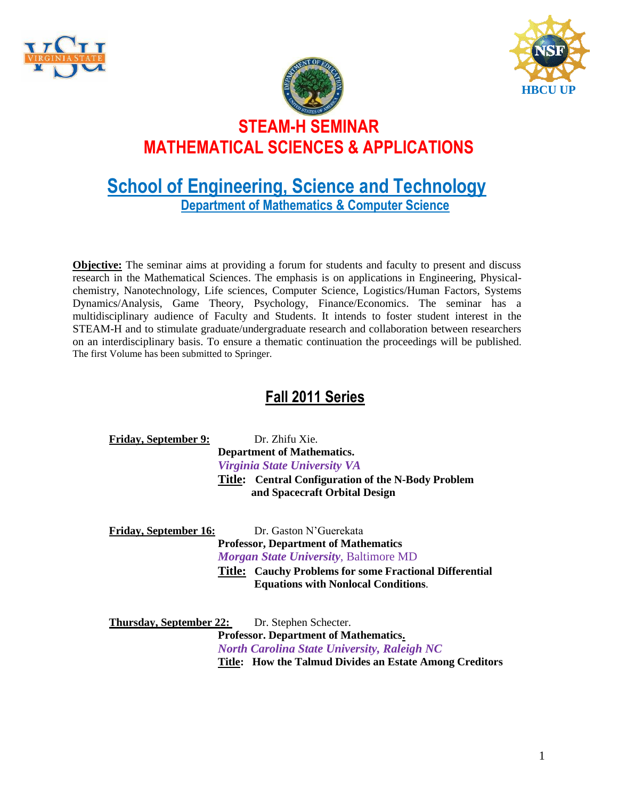





## **School of Engineering, Science and Technology Department of Mathematics & Computer Science**

**Objective:** The seminar aims at providing a forum for students and faculty to present and discuss research in the Mathematical Sciences. The emphasis is on applications in Engineering, Physicalchemistry, Nanotechnology, Life sciences, Computer Science, Logistics/Human Factors, Systems Dynamics/Analysis, Game Theory, Psychology, Finance/Economics. The seminar has a multidisciplinary audience of Faculty and Students. It intends to foster student interest in the STEAM-H and to stimulate graduate/undergraduate research and collaboration between researchers on an interdisciplinary basis. To ensure a thematic continuation the proceedings will be published. The first Volume has been submitted to Springer.

### **Fall 2011 Series**

| <b>Friday, September 9:</b> | Dr. Zhifu Xie.                                     |
|-----------------------------|----------------------------------------------------|
|                             | <b>Department of Mathematics.</b>                  |
|                             | <b>Virginia State University VA</b>                |
|                             | Title: Central Configuration of the N-Body Problem |
|                             | and Spacecraft Orbital Design                      |
|                             |                                                    |

| <b>Friday, September 16:</b> | Dr. Gaston N'Guerekata                                         |
|------------------------------|----------------------------------------------------------------|
|                              | <b>Professor, Department of Mathematics</b>                    |
|                              | <i>Morgan State University, Baltimore MD</i>                   |
|                              | <b>Title: Cauchy Problems for some Fractional Differential</b> |
|                              | <b>Equations with Nonlocal Conditions.</b>                     |

**Thursday, September 22:** Dr. Stephen Schecter. **Professor. Department of Mathematics.** *North Carolina State University, Raleigh NC* **Title: How the Talmud Divides an Estate Among Creditors**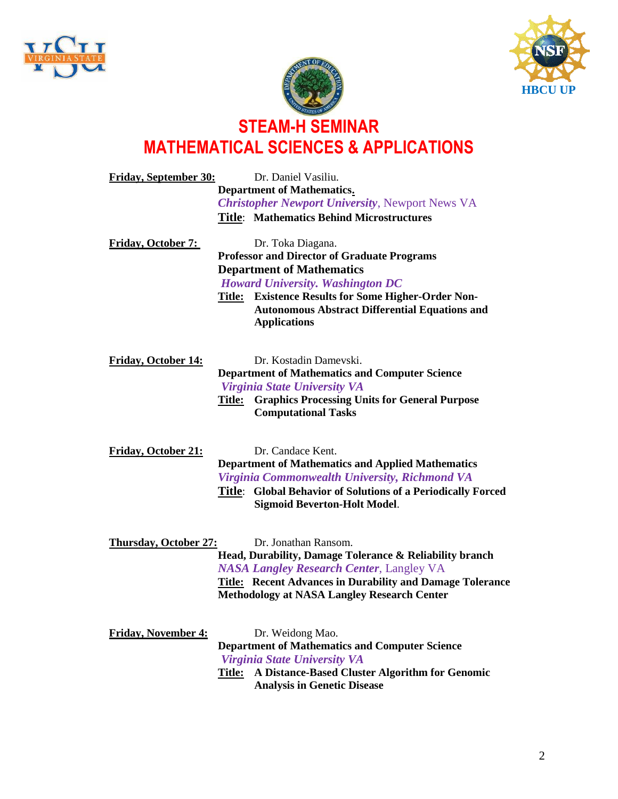





| <b>Friday, September 30:</b> |        | Dr. Daniel Vasiliu.                                                                                                                                                                                                                          |
|------------------------------|--------|----------------------------------------------------------------------------------------------------------------------------------------------------------------------------------------------------------------------------------------------|
|                              |        | Department of Mathematics.<br><b>Christopher Newport University, Newport News VA</b>                                                                                                                                                         |
|                              |        | <b>Title: Mathematics Behind Microstructures</b>                                                                                                                                                                                             |
| <b>Friday, October 7:</b>    |        | Dr. Toka Diagana.<br><b>Professor and Director of Graduate Programs</b>                                                                                                                                                                      |
|                              |        | <b>Department of Mathematics</b>                                                                                                                                                                                                             |
|                              |        | <b>Howard University. Washington DC</b>                                                                                                                                                                                                      |
|                              |        | <b>Title:</b> Existence Results for Some Higher-Order Non-<br><b>Autonomous Abstract Differential Equations and</b><br><b>Applications</b>                                                                                                   |
| <b>Friday, October 14:</b>   |        | Dr. Kostadin Dameyski.                                                                                                                                                                                                                       |
|                              |        | <b>Department of Mathematics and Computer Science</b>                                                                                                                                                                                        |
|                              |        | Virginia State University VA                                                                                                                                                                                                                 |
|                              |        | <b>Title:</b> Graphics Processing Units for General Purpose<br><b>Computational Tasks</b>                                                                                                                                                    |
| <b>Friday, October 21:</b>   |        | Dr. Candace Kent.<br><b>Department of Mathematics and Applied Mathematics</b><br>Virginia Commonwealth University, Richmond VA<br><b>Title:</b> Global Behavior of Solutions of a Periodically Forced<br><b>Sigmoid Beverton-Holt Model.</b> |
| <b>Thursday, October 27:</b> |        | Dr. Jonathan Ransom.<br>Head, Durability, Damage Tolerance & Reliability branch<br><b>NASA Langley Research Center, Langley VA</b>                                                                                                           |
|                              |        | <b>Title: Recent Advances in Durability and Damage Tolerance</b><br><b>Methodology at NASA Langley Research Center</b>                                                                                                                       |
| <b>Friday, November 4:</b>   |        | Dr. Weidong Mao.                                                                                                                                                                                                                             |
|                              |        | <b>Department of Mathematics and Computer Science</b>                                                                                                                                                                                        |
|                              |        | <b>Virginia State University VA</b>                                                                                                                                                                                                          |
|                              | Title: | A Distance-Based Cluster Algorithm for Genomic<br><b>Analysis in Genetic Disease</b>                                                                                                                                                         |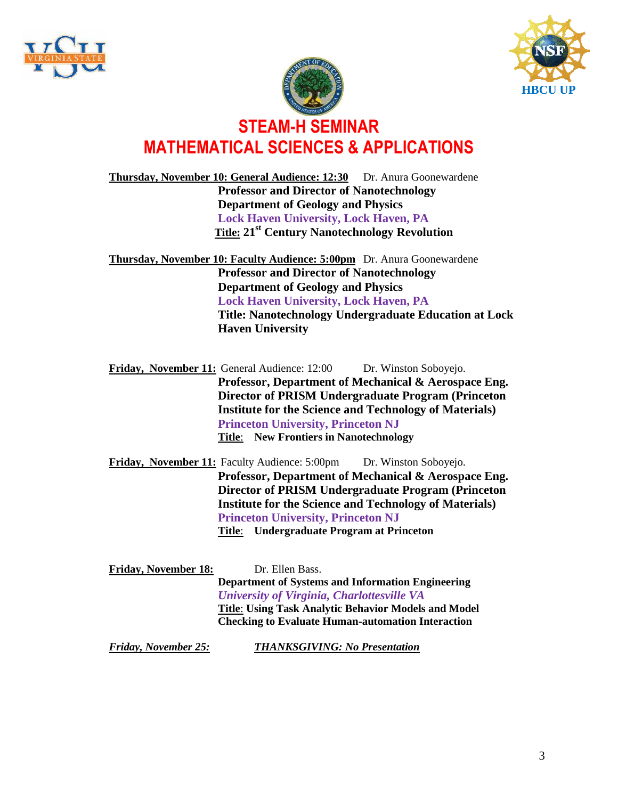





**Thursday, November 10: General Audience: 12:30** Dr. Anura Goonewardene **Professor and Director of Nanotechnology Department of Geology and Physics Lock Haven University, Lock Haven, PA Title: 21st Century Nanotechnology Revolution**

**Thursday, November 10: Faculty Audience: 5:00pm** Dr. Anura Goonewardene **Professor and Director of Nanotechnology Department of Geology and Physics Lock Haven University, Lock Haven, PA Title: Nanotechnology Undergraduate Education at Lock Haven University**

Friday, November 11: General Audience: 12:00 Dr. Winston Soboyejo. **Professor, Department of Mechanical & Aerospace Eng. Director of PRISM Undergraduate Program (Princeton Institute for the Science and Technology of Materials) Princeton University, Princeton NJ Title**: **New Frontiers in Nanotechnology**

- **Friday, November 11:** Faculty Audience: 5:00pm Dr. Winston Soboyejo. **Professor, Department of Mechanical & Aerospace Eng. Director of PRISM Undergraduate Program (Princeton Institute for the Science and Technology of Materials) Princeton University, Princeton NJ Title**: **Undergraduate Program at Princeton**
- Friday, November 18: Dr. Ellen Bass. **Department of Systems and Information Engineering** *University of Virginia, Charlottesville VA* **Title**: **Using Task Analytic Behavior Models and Model Checking to Evaluate Human-automation Interaction**

*Friday, November 25: THANKSGIVING: No Presentation*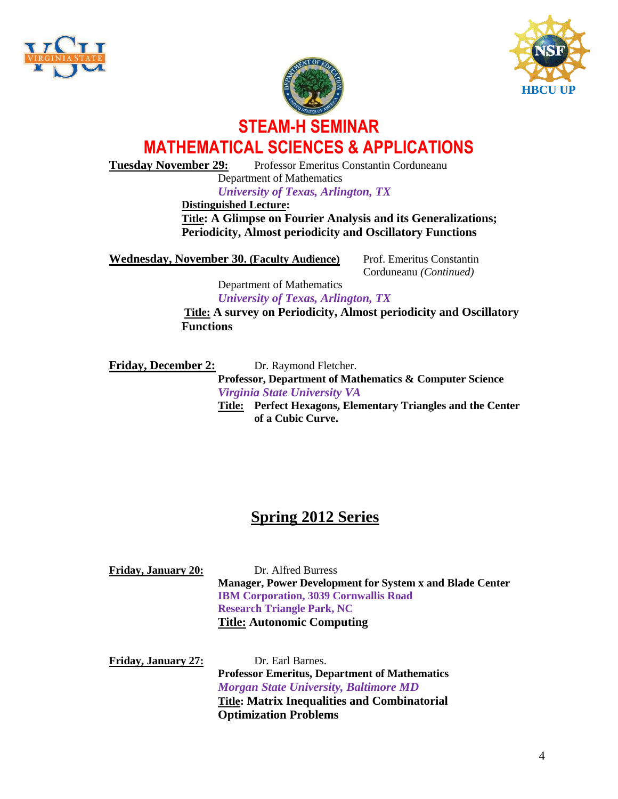





**Tuesday November 29:** Professor Emeritus Constantin Corduneanu

Department of Mathematics *University of Texas, Arlington, TX*

**Distinguished Lecture:** 

**Title: A Glimpse on Fourier Analysis and its Generalizations; Periodicity, Almost periodicity and Oscillatory Functions**

**Wednesday, November 30. (Faculty Audience) Prof. Emeritus Constantin** 

Corduneanu *(Continued)*

Department of Mathematics *University of Texas, Arlington, TX*

**Title: A survey on Periodicity, Almost periodicity and Oscillatory Functions**

Friday, December 2: Dr. Raymond Fletcher.

**Professor, Department of Mathematics & Computer Science** *Virginia State University VA* **Title: Perfect Hexagons, Elementary Triangles and the Center** 

**of a Cubic Curve.**

# **Spring 2012 Series**

| <b>Friday, January 20:</b> | Dr. Alfred Burress                                              |
|----------------------------|-----------------------------------------------------------------|
|                            | <b>Manager, Power Development for System x and Blade Center</b> |
|                            | <b>IBM Corporation, 3039 Cornwallis Road</b>                    |
|                            | <b>Research Triangle Park, NC</b>                               |
|                            | <b>Title: Autonomic Computing</b>                               |

Friday, January 27: Dr. Earl Barnes. **Professor Emeritus, Department of Mathematics** *Morgan State University, Baltimore MD* **Title: Matrix Inequalities and Combinatorial Optimization Problems**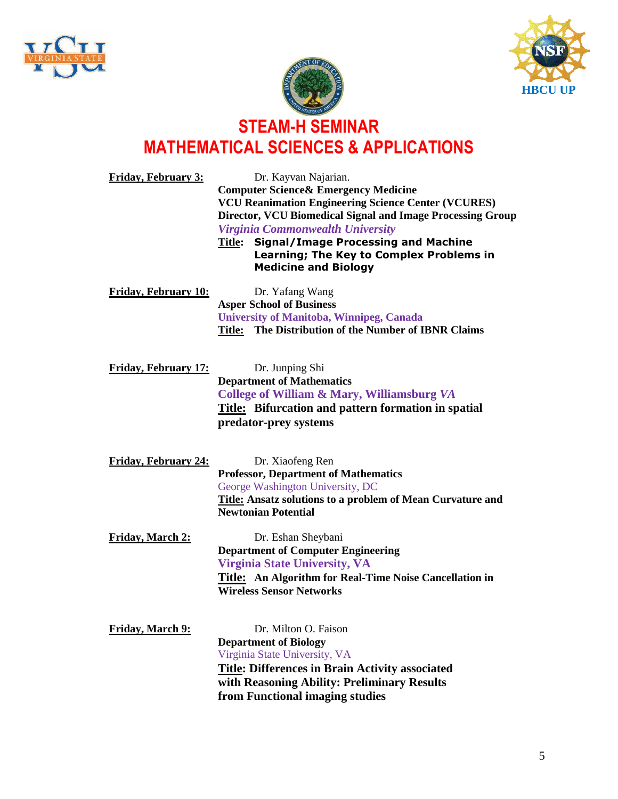





| <b>Friday, February 3:</b>                                             | Dr. Kayvan Najarian.<br><b>Computer Science &amp; Emergency Medicine</b><br><b>VCU Reanimation Engineering Science Center (VCURES)</b><br>Director, VCU Biomedical Signal and Image Processing Group<br>Virginia Commonwealth University<br><b>Signal/Image Processing and Machine</b><br>Title:<br>Learning; The Key to Complex Problems in<br><b>Medicine and Biology</b> |
|------------------------------------------------------------------------|-----------------------------------------------------------------------------------------------------------------------------------------------------------------------------------------------------------------------------------------------------------------------------------------------------------------------------------------------------------------------------|
| <b>Friday, February 10:</b>                                            | Dr. Yafang Wang<br><b>Asper School of Business</b><br><b>University of Manitoba, Winnipeg, Canada</b><br>Title: The Distribution of the Number of IBNR Claims                                                                                                                                                                                                               |
| <b>Friday, February 17:</b>                                            | Dr. Junping Shi<br><b>Department of Mathematics</b><br>College of William & Mary, Williamsburg VA<br><b>Title:</b> Bifurcation and pattern formation in spatial<br>predator-prey systems                                                                                                                                                                                    |
| <b>Friday, February 24:</b>                                            | Dr. Xiaofeng Ren<br><b>Professor, Department of Mathematics</b><br>George Washington University, DC<br><b>Title: Ansatz solutions to a problem of Mean Curvature and</b><br><b>Newtonian Potential</b>                                                                                                                                                                      |
| Friday, March 2:                                                       | Dr. Eshan Sheybani<br><b>Department of Computer Engineering</b><br><b>Virginia State University, VA</b><br>Title: An Algorithm for Real-Time Noise Cancellation in<br><b>Wireless Sensor Networks</b>                                                                                                                                                                       |
| $T''$ $\mathbf{1}$ $\mathbf{1}$ $\mathbf{1}$ $\mathbf{1}$ $\mathbf{0}$ | $\mathbf{M}^{(1)}$ $\mathbf{\Omega}$ $\mathbf{\Gamma}$ $\mathbf{\Gamma}$                                                                                                                                                                                                                                                                                                    |

**Friday, March 9:** Dr. Milton O. Faison **Department of Biology** Virginia State University, VA **Title: Differences in Brain Activity associated with Reasoning Ability: Preliminary Results from Functional imaging studies**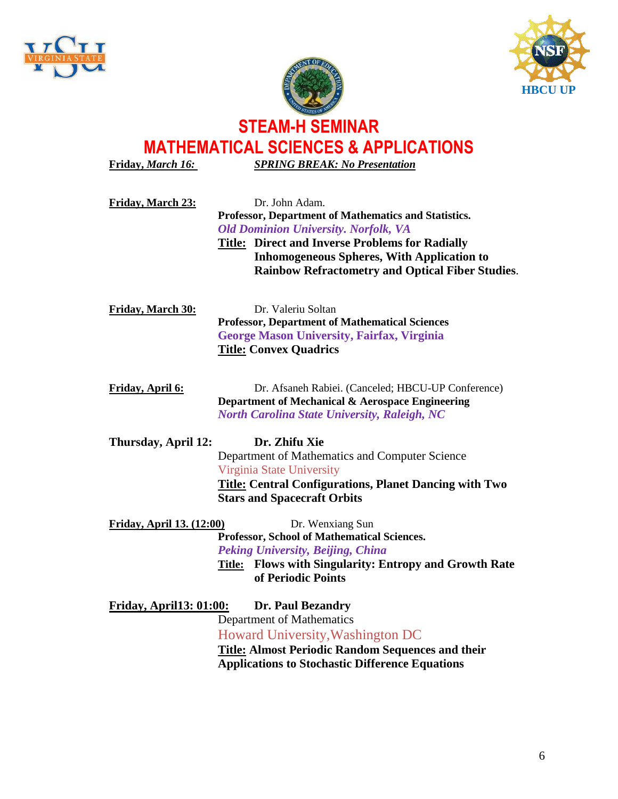



**Friday,** *March 16: SPRING BREAK: No Presentation* **Friday, March 23:** Dr. John Adam. **Professor, Department of Mathematics and Statistics.** *Old Dominion University. Norfolk, VA*  **Title: Direct and Inverse Problems for Radially Inhomogeneous Spheres, With Application to Rainbow Refractometry and Optical Fiber Studies**. **Friday, March 30:** Dr. Valeriu Soltan **Professor, Department of Mathematical Sciences George Mason University, Fairfax, Virginia Title: Convex Quadrics Friday, April 6:** Dr. Afsaneh Rabiei. (Canceled; HBCU-UP Conference) **Department of Mechanical & Aerospace Engineering** *North Carolina State University, Raleigh, NC* **Thursday, April 12: Dr. Zhifu Xie** Department of Mathematics and Computer Science Virginia State University **Title: Central Configurations, Planet Dancing with Two Stars and Spacecraft Orbits** Friday, April 13. (12:00) Dr. Wenxiang Sun **Professor, School of Mathematical Sciences.**  *Peking University, Beijing, China* **Title: Flows with Singularity: Entropy and Growth Rate of Periodic Points Friday, April13: 01:00: Dr. Paul Bezandry** Department of Mathematics Howard University,Washington DC

**Title: Almost Periodic Random Sequences and their Applications to Stochastic Difference Equations**